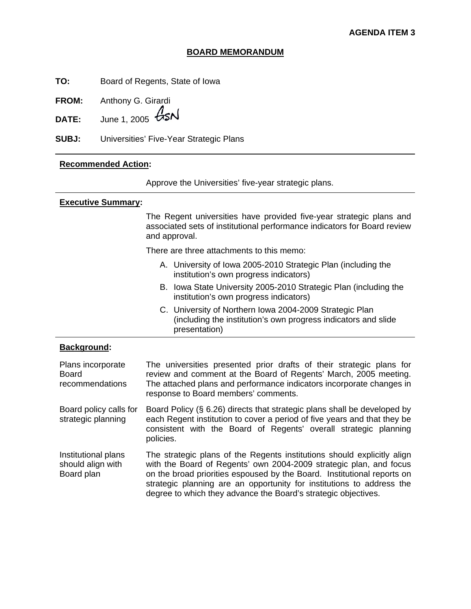### **BOARD MEMORANDUM**

**TO:** Board of Regents, State of Iowa

**FROM:** Anthony G. Girardi

**DATE:** June 1, 2005 *ASN* 

**SUBJ:** Universities' Five-Year Strategic Plans

### **Recommended Action:**

Approve the Universities' five-year strategic plans.

### **Executive Summary:**

 The Regent universities have provided five-year strategic plans and associated sets of institutional performance indicators for Board review and approval.

There are three attachments to this memo:

- A. University of Iowa 2005-2010 Strategic Plan (including the institution's own progress indicators)
- B. Iowa State University 2005-2010 Strategic Plan (including the institution's own progress indicators)
- C. University of Northern Iowa 2004-2009 Strategic Plan (including the institution's own progress indicators and slide presentation)

### **Background:**

| Plans incorporate<br>Board<br>recommendations          | The universities presented prior drafts of their strategic plans for<br>review and comment at the Board of Regents' March, 2005 meeting.<br>The attached plans and performance indicators incorporate changes in<br>response to Board members' comments.                                                                                                            |
|--------------------------------------------------------|---------------------------------------------------------------------------------------------------------------------------------------------------------------------------------------------------------------------------------------------------------------------------------------------------------------------------------------------------------------------|
| Board policy calls for<br>strategic planning           | Board Policy (§ 6.26) directs that strategic plans shall be developed by<br>each Regent institution to cover a period of five years and that they be<br>consistent with the Board of Regents' overall strategic planning<br>policies.                                                                                                                               |
| Institutional plans<br>should align with<br>Board plan | The strategic plans of the Regents institutions should explicitly align<br>with the Board of Regents' own 2004-2009 strategic plan, and focus<br>on the broad priorities espoused by the Board. Institutional reports on<br>strategic planning are an opportunity for institutions to address the<br>degree to which they advance the Board's strategic objectives. |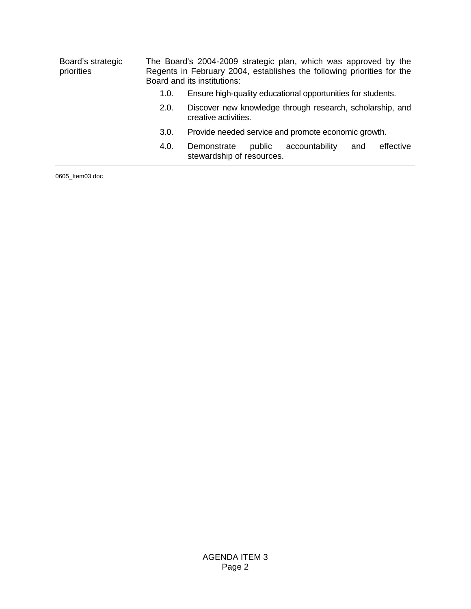| Board's strategic<br>priorities |      | The Board's 2004-2009 strategic plan, which was approved by the<br>Regents in February 2004, establishes the following priorities for the<br>Board and its institutions: |  |  |
|---------------------------------|------|--------------------------------------------------------------------------------------------------------------------------------------------------------------------------|--|--|
|                                 | 1.0. | Ensure high-quality educational opportunities for students.                                                                                                              |  |  |
|                                 | 2.0. | Discover new knowledge through research, scholarship, and<br>creative activities.                                                                                        |  |  |
|                                 | 3.0. | Provide needed service and promote economic growth.                                                                                                                      |  |  |
|                                 | 4.0. | effective<br>Demonstrate<br>accountability<br>public<br>and<br>stewardship of resources.                                                                                 |  |  |
| $0.605$ $HOM0.2$ doo            |      |                                                                                                                                                                          |  |  |

0605\_Item03.doc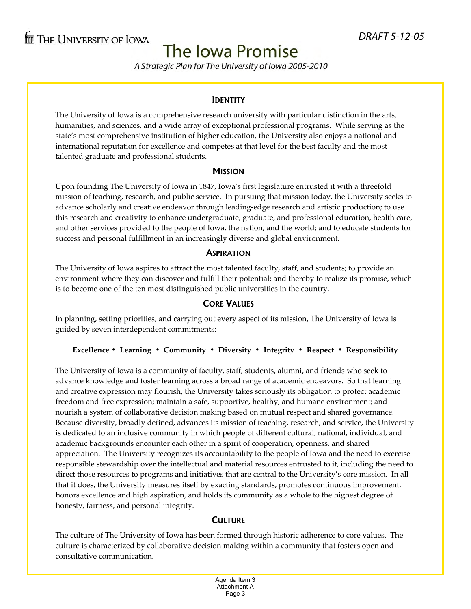# The Iowa Promise

A Strategic Plan for The University of Iowa 2005-2010

### **IDENTITY**

The University of Iowa is a comprehensive research university with particular distinction in the arts, humanities, and sciences, and a wide array of exceptional professional programs. While serving as the state's most comprehensive institution of higher education, the University also enjoys a national and international reputation for excellence and competes at that level for the best faculty and the most talented graduate and professional students.

### **MISSION**

Upon founding The University of Iowa in 1847, Iowa's first legislature entrusted it with a threefold mission of teaching, research, and public service. In pursuing that mission today, the University seeks to advance scholarly and creative endeavor through leading‐edge research and artistic production; to use this research and creativity to enhance undergraduate, graduate, and professional education, health care, and other services provided to the people of Iowa, the nation, and the world; and to educate students for success and personal fulfillment in an increasingly diverse and global environment.

### **ASPIRATION**

The University of Iowa aspires to attract the most talented faculty, staff, and students; to provide an environment where they can discover and fulfill their potential; and thereby to realize its promise, which is to become one of the ten most distinguished public universities in the country.

### **CORE VALUES**

In planning, setting priorities, and carrying out every aspect of its mission, The University of Iowa is guided by seven interdependent commitments:

### Excellence · Learning · Community · Diversity · Integrity · Respect · Responsibility

The University of Iowa is a community of faculty, staff, students, alumni, and friends who seek to advance knowledge and foster learning across a broad range of academic endeavors. So that learning and creative expression may flourish, the University takes seriously its obligation to protect academic freedom and free expression; maintain a safe, supportive, healthy, and humane environment; and nourish a system of collaborative decision making based on mutual respect and shared governance. Because diversity, broadly defined, advances its mission of teaching, research, and service, the University is dedicated to an inclusive community in which people of different cultural, national, individual, and academic backgrounds encounter each other in a spirit of cooperation, openness, and shared appreciation. The University recognizes its accountability to the people of Iowa and the need to exercise responsible stewardship over the intellectual and material resources entrusted to it, including the need to direct those resources to programs and initiatives that are central to the University's core mission. In all that it does, the University measures itself by exacting standards, promotes continuous improvement, honors excellence and high aspiration, and holds its community as a whole to the highest degree of honesty, fairness, and personal integrity.

### **CULTURE**

The culture of The University of Iowa has been formed through historic adherence to core values. The culture is characterized by collaborative decision making within a community that fosters open and consultative communication.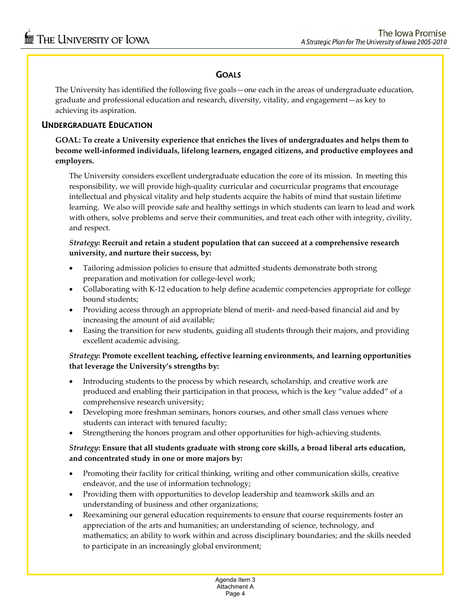### **GOALS**

The University has identified the following five goals—one each in the areas of undergraduate education, graduate and professional education and research, diversity, vitality, and engagement—as key to achieving its aspiration.

### **UNDERGRADUATE EDUCATION**

### **GOAL: To create a University experience that enriches the lives of undergraduates and helps them to become well‐informed individuals, lifelong learners, engaged citizens, and productive employees and employers.**

The University considers excellent undergraduate education the core of its mission. In meeting this responsibility, we will provide high‐quality curricular and cocurricular programs that encourage intellectual and physical vitality and help students acquire the habits of mind that sustain lifetime learning. We also will provide safe and healthy settings in which students can learn to lead and work with others, solve problems and serve their communities, and treat each other with integrity, civility, and respect.

### *Strategy***: Recruit and retain a student population that can succeed at a comprehensive research university, and nurture their success, by:**

- Tailoring admission policies to ensure that admitted students demonstrate both strong preparation and motivation for college‐level work;
- Collaborating with K-12 education to help define academic competencies appropriate for college bound students;
- Providing access through an appropriate blend of merit- and need-based financial aid and by increasing the amount of aid available;
- Easing the transition for new students, guiding all students through their majors, and providing excellent academic advising.

### *Strategy***: Promote excellent teaching, effective learning environments, and learning opportunities that leverage the University's strengths by:**

- Introducing students to the process by which research, scholarship, and creative work are produced and enabling their participation in that process, which is the key "value added" of a comprehensive research university;
- Developing more freshman seminars, honors courses, and other small class venues where students can interact with tenured faculty;
- Strengthening the honors program and other opportunities for high-achieving students.

### *Strategy***: Ensure that all students graduate with strong core skills, a broad liberal arts education, and concentrated study in one or more majors by:**

- Promoting their facility for critical thinking, writing and other communication skills, creative endeavor, and the use of information technology;
- Providing them with opportunities to develop leadership and teamwork skills and an understanding of business and other organizations;
- Reexamining our general education requirements to ensure that course requirements foster an appreciation of the arts and humanities; an understanding of science, technology, and mathematics; an ability to work within and across disciplinary boundaries; and the skills needed to participate in an increasingly global environment;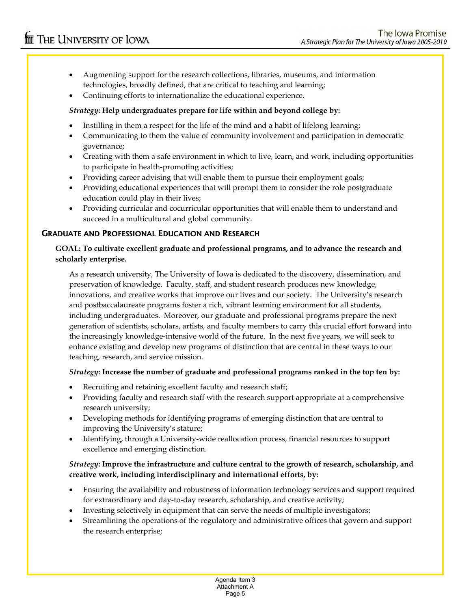- Augmenting support for the research collections, libraries, museums, and information technologies, broadly defined, that are critical to teaching and learning;
- Continuing efforts to internationalize the educational experience.

### *Strategy***: Help undergraduates prepare for life within and beyond college by:**

- Instilling in them a respect for the life of the mind and a habit of lifelong learning;
- Communicating to them the value of community involvement and participation in democratic governance;
- Creating with them a safe environment in which to live, learn, and work, including opportunities to participate in health‐promoting activities;
- Providing career advising that will enable them to pursue their employment goals;
- Providing educational experiences that will prompt them to consider the role postgraduate education could play in their lives;
- Providing curricular and cocurricular opportunities that will enable them to understand and succeed in a multicultural and global community.

### **GRADUATE AND PROFESSIONAL EDUCATION AND RESEARCH**

### **GOAL: To cultivate excellent graduate and professional programs, and to advance the research and scholarly enterprise.**

As a research university, The University of Iowa is dedicated to the discovery, dissemination, and preservation of knowledge. Faculty, staff, and student research produces new knowledge, innovations, and creative works that improve our lives and our society. The University's research and postbaccalaureate programs foster a rich, vibrant learning environment for all students, including undergraduates. Moreover, our graduate and professional programs prepare the next generation of scientists, scholars, artists, and faculty members to carry this crucial effort forward into the increasingly knowledge‐intensive world of the future. In the next five years, we will seek to enhance existing and develop new programs of distinction that are central in these ways to our teaching, research, and service mission.

### *Strategy***: Increase the number of graduate and professional programs ranked in the top ten by:**

- Recruiting and retaining excellent faculty and research staff;
- Providing faculty and research staff with the research support appropriate at a comprehensive research university;
- Developing methods for identifying programs of emerging distinction that are central to improving the University's stature;
- Identifying, through a University‐wide reallocation process, financial resources to support excellence and emerging distinction.

### *Strategy***: Improve the infrastructure and culture central to the growth of research, scholarship, and creative work, including interdisciplinary and international efforts, by:**

- Ensuring the availability and robustness of information technology services and support required for extraordinary and day-to-day research, scholarship, and creative activity;
- Investing selectively in equipment that can serve the needs of multiple investigators;
- Streamlining the operations of the regulatory and administrative offices that govern and support the research enterprise;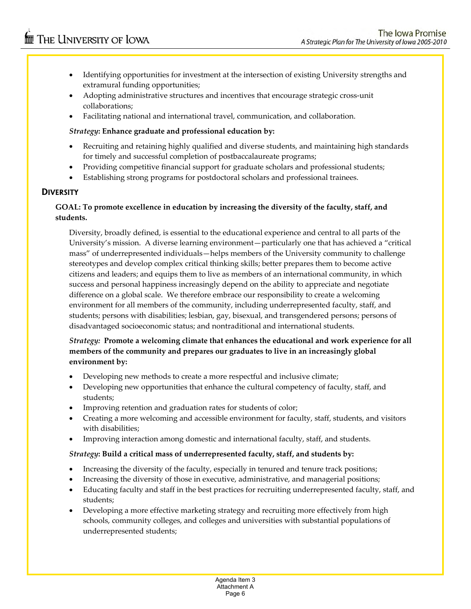- Identifying opportunities for investment at the intersection of existing University strengths and extramural funding opportunities;
- Adopting administrative structures and incentives that encourage strategic cross‐unit collaborations;
- Facilitating national and international travel, communication, and collaboration.

### *Strategy***: Enhance graduate and professional education by:**

- Recruiting and retaining highly qualified and diverse students, and maintaining high standards for timely and successful completion of postbaccalaureate programs;
- Providing competitive financial support for graduate scholars and professional students;
- Establishing strong programs for postdoctoral scholars and professional trainees.

### **DIVERSITY**

### **GOAL: To promote excellence in education by increasing the diversity of the faculty, staff, and students.**

Diversity, broadly defined, is essential to the educational experience and central to all parts of the University's mission. A diverse learning environment—particularly one that has achieved a "critical mass" of underrepresented individuals—helps members of the University community to challenge stereotypes and develop complex critical thinking skills; better prepares them to become active citizens and leaders; and equips them to live as members of an international community, in which success and personal happiness increasingly depend on the ability to appreciate and negotiate difference on a global scale. We therefore embrace our responsibility to create a welcoming environment for all members of the community, including underrepresented faculty, staff, and students; persons with disabilities; lesbian, gay, bisexual, and transgendered persons; persons of disadvantaged socioeconomic status; and nontraditional and international students.

### *Strategy:* **Promote a welcoming climate that enhances the educational and work experience for all members of the community and prepares our graduates to live in an increasingly global environment by:**

- Developing new methods to create a more respectful and inclusive climate;
- Developing new opportunities that enhance the cultural competency of faculty, staff, and students;
- Improving retention and graduation rates for students of color;
- Creating a more welcoming and accessible environment for faculty, staff, students, and visitors with disabilities;
- Improving interaction among domestic and international faculty, staff, and students.

### *Strategy***: Build a critical mass of underrepresented faculty, staff, and students by:**

- Increasing the diversity of the faculty, especially in tenured and tenure track positions;
- Increasing the diversity of those in executive, administrative, and managerial positions;
- Educating faculty and staff in the best practices for recruiting underrepresented faculty, staff, and students;
- Developing a more effective marketing strategy and recruiting more effectively from high schools, community colleges, and colleges and universities with substantial populations of underrepresented students;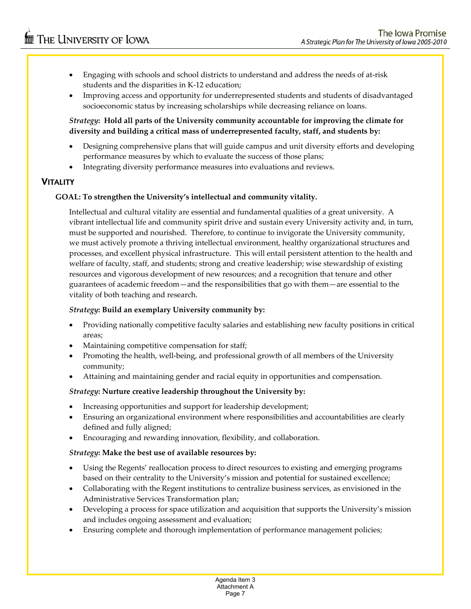- Engaging with schools and school districts to understand and address the needs of at-risk students and the disparities in K‐12 education;
- Improving access and opportunity for underrepresented students and students of disadvantaged socioeconomic status by increasing scholarships while decreasing reliance on loans.

### *Strategy***: Hold all parts of the University community accountable for improving the climate for diversity and building a critical mass of underrepresented faculty, staff, and students by:**

- Designing comprehensive plans that will guide campus and unit diversity efforts and developing performance measures by which to evaluate the success of those plans;
- Integrating diversity performance measures into evaluations and reviews.

## **VITALITY**

### **GOAL: To strengthen the University's intellectual and community vitality.**

Intellectual and cultural vitality are essential and fundamental qualities of a great university. A vibrant intellectual life and community spirit drive and sustain every University activity and, in turn, must be supported and nourished. Therefore, to continue to invigorate the University community, we must actively promote a thriving intellectual environment, healthy organizational structures and processes, and excellent physical infrastructure. This will entail persistent attention to the health and welfare of faculty, staff, and students; strong and creative leadership; wise stewardship of existing resources and vigorous development of new resources; and a recognition that tenure and other guarantees of academic freedom—and the responsibilities that go with them—are essential to the vitality of both teaching and research.

### *Strategy***: Build an exemplary University community by:**

- Providing nationally competitive faculty salaries and establishing new faculty positions in critical areas;
- Maintaining competitive compensation for staff;
- Promoting the health, well-being, and professional growth of all members of the University community;
- Attaining and maintaining gender and racial equity in opportunities and compensation.

### *Strategy***: Nurture creative leadership throughout the University by:**

- Increasing opportunities and support for leadership development;
- Ensuring an organizational environment where responsibilities and accountabilities are clearly defined and fully aligned;
- Encouraging and rewarding innovation, flexibility, and collaboration.

### *Strategy***: Make the best use of available resources by:**

- Using the Regents' reallocation process to direct resources to existing and emerging programs based on their centrality to the University's mission and potential for sustained excellence;
- Collaborating with the Regent institutions to centralize business services, as envisioned in the Administrative Services Transformation plan;
- Developing a process for space utilization and acquisition that supports the University's mission and includes ongoing assessment and evaluation;
- Ensuring complete and thorough implementation of performance management policies;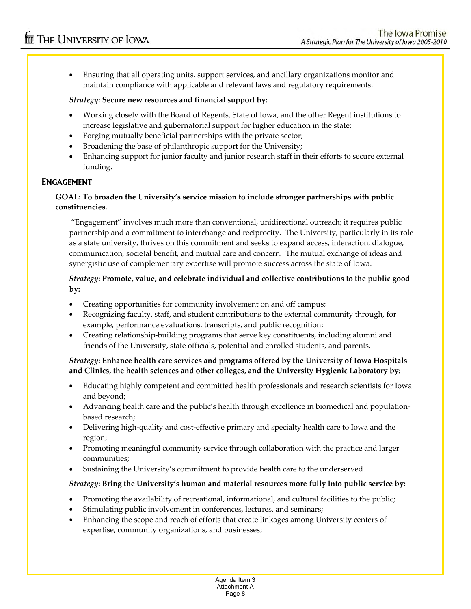• Ensuring that all operating units, support services, and ancillary organizations monitor and maintain compliance with applicable and relevant laws and regulatory requirements.

### *Strategy***: Secure new resources and financial support by:**

- Working closely with the Board of Regents, State of Iowa, and the other Regent institutions to increase legislative and gubernatorial support for higher education in the state;
- Forging mutually beneficial partnerships with the private sector;
- Broadening the base of philanthropic support for the University;
- Enhancing support for junior faculty and junior research staff in their efforts to secure external funding.

### **ENGAGEMENT**

### **GOAL: To broaden the University's service mission to include stronger partnerships with public constituencies.**

"Engagement" involves much more than conventional, unidirectional outreach; it requires public partnership and a commitment to interchange and reciprocity. The University, particularly in its role as a state university, thrives on this commitment and seeks to expand access, interaction, dialogue, communication, societal benefit, and mutual care and concern. The mutual exchange of ideas and synergistic use of complementary expertise will promote success across the state of Iowa.

### *Strategy***: Promote, value, and celebrate individual and collective contributions to the public good by:**

- Creating opportunities for community involvement on and off campus;
- Recognizing faculty, staff, and student contributions to the external community through, for example, performance evaluations, transcripts, and public recognition;
- Creating relationship‐building programs that serve key constituents, including alumni and friends of the University, state officials, potential and enrolled students, and parents.

### *Strategy***: Enhance health care services and programs offered by the University of Iowa Hospitals and Clinics, the health sciences and other colleges, and the University Hygienic Laboratory by***:*

- Educating highly competent and committed health professionals and research scientists for Iowa and beyond;
- Advancing health care and the public's health through excellence in biomedical and populationbased research;
- Delivering high-quality and cost-effective primary and specialty health care to Iowa and the region;
- Promoting meaningful community service through collaboration with the practice and larger communities;
- Sustaining the University's commitment to provide health care to the underserved.

### *Strategy***: Bring the University's human and material resources more fully into public service by***:*

- Promoting the availability of recreational, informational, and cultural facilities to the public;
- Stimulating public involvement in conferences, lectures, and seminars;
- Enhancing the scope and reach of efforts that create linkages among University centers of expertise, community organizations, and businesses;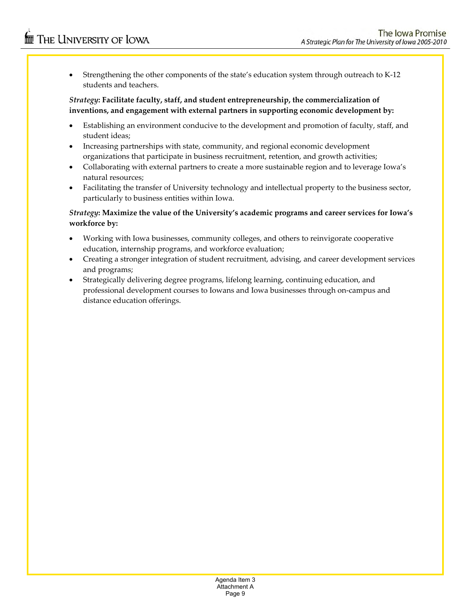• Strengthening the other components of the state's education system through outreach to K‐12 students and teachers.

### *Strategy***: Facilitate faculty, staff, and student entrepreneurship, the commercialization of inventions, and engagement with external partners in supporting economic development by:**

- Establishing an environment conducive to the development and promotion of faculty, staff, and student ideas;
- Increasing partnerships with state, community, and regional economic development organizations that participate in business recruitment, retention, and growth activities;
- Collaborating with external partners to create a more sustainable region and to leverage Iowa's natural resources;
- Facilitating the transfer of University technology and intellectual property to the business sector, particularly to business entities within Iowa.

### *Strategy***: Maximize the value of the University's academic programs and career services for Iowa's workforce by:**

- Working with Iowa businesses, community colleges, and others to reinvigorate cooperative education, internship programs, and workforce evaluation;
- Creating a stronger integration of student recruitment, advising, and career development services and programs;
- Strategically delivering degree programs, lifelong learning, continuing education, and professional development courses to Iowans and Iowa businesses through on‐campus and distance education offerings.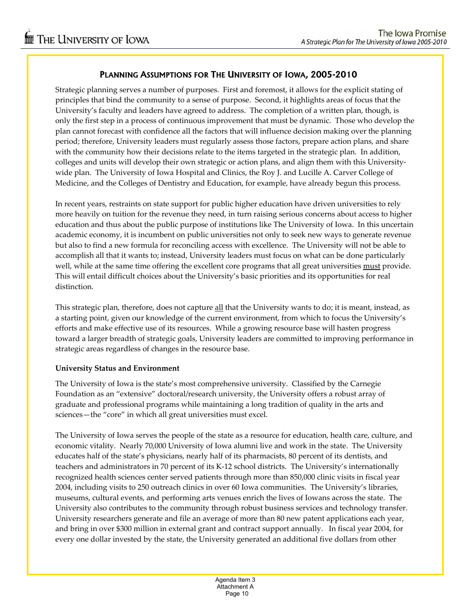### **PLANNING ASSUMPTIONS FOR THE UNIVERSITY OF IOWA, 2005-2010**

Strategic planning serves a number of purposes. First and foremost, it allows for the explicit stating of principles that bind the community to a sense of purpose. Second, it highlights areas of focus that the University's faculty and leaders have agreed to address. The completion of a written plan, though, is only the first step in a process of continuous improvement that must be dynamic. Those who develop the plan cannot forecast with confidence all the factors that will influence decision making over the planning period; therefore, University leaders must regularly assess those factors, prepare action plans, and share with the community how their decisions relate to the items targeted in the strategic plan. In addition, colleges and units will develop their own strategic or action plans, and align them with this University‐ wide plan. The University of Iowa Hospital and Clinics, the Roy J. and Lucille A. Carver College of Medicine, and the Colleges of Dentistry and Education, for example, have already begun this process.

In recent years, restraints on state support for public higher education have driven universities to rely more heavily on tuition for the revenue they need, in turn raising serious concerns about access to higher education and thus about the public purpose of institutions like The University of Iowa. In this uncertain academic economy, it is incumbent on public universities not only to seek new ways to generate revenue but also to find a new formula for reconciling access with excellence. The University will not be able to accomplish all that it wants to; instead, University leaders must focus on what can be done particularly well, while at the same time offering the excellent core programs that all great universities must provide. This will entail difficult choices about the University's basic priorities and its opportunities for real distinction.

This strategic plan, therefore, does not capture all that the University wants to do; it is meant, instead, as a starting point, given our knowledge of the current environment, from which to focus the University's efforts and make effective use of its resources. While a growing resource base will hasten progress toward a larger breadth of strategic goals, University leaders are committed to improving performance in strategic areas regardless of changes in the resource base.

### **University Status and Environment**

The University of Iowa is the state's most comprehensive university. Classified by the Carnegie Foundation as an "extensive" doctoral/research university, the University offers a robust array of graduate and professional programs while maintaining a long tradition of quality in the arts and sciences—the "core" in which all great universities must excel.

The University of Iowa serves the people of the state as a resource for education, health care, culture, and economic vitality. Nearly 70,000 University of Iowa alumni live and work in the state. The University educates half of the state's physicians, nearly half of its pharmacists, 80 percent of its dentists, and teachers and administrators in 70 percent of its K‐12 school districts. The University's internationally recognized health sciences center served patients through more than 850,000 clinic visits in fiscal year 2004, including visits to 250 outreach clinics in over 60 Iowa communities. The University's libraries, museums, cultural events, and performing arts venues enrich the lives of Iowans across the state. The University also contributes to the community through robust business services and technology transfer. University researchers generate and file an average of more than 80 new patent applications each year, and bring in over \$300 million in external grant and contract support annually. In fiscal year 2004, for every one dollar invested by the state, the University generated an additional five dollars from other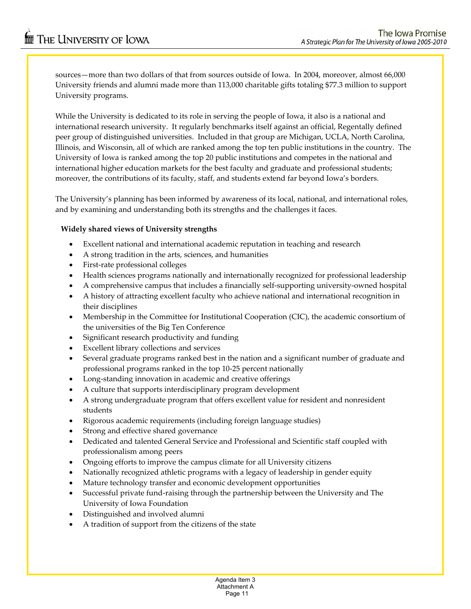sources—more than two dollars of that from sources outside of Iowa. In 2004, moreover, almost 66,000 University friends and alumni made more than 113,000 charitable gifts totaling \$77.3 million to support University programs.

While the University is dedicated to its role in serving the people of Iowa, it also is a national and international research university. It regularly benchmarks itself against an official, Regentally defined peer group of distinguished universities. Included in that group are Michigan, UCLA, North Carolina, Illinois, and Wisconsin, all of which are ranked among the top ten public institutions in the country. The University of Iowa is ranked among the top 20 public institutions and competes in the national and international higher education markets for the best faculty and graduate and professional students; moreover, the contributions of its faculty, staff, and students extend far beyond Iowa's borders.

The University's planning has been informed by awareness of its local, national, and international roles, and by examining and understanding both its strengths and the challenges it faces.

### **Widely shared views of University strengths**

- Excellent national and international academic reputation in teaching and research
- A strong tradition in the arts, sciences, and humanities
- First‐rate professional colleges
- Health sciences programs nationally and internationally recognized for professional leadership
- A comprehensive campus that includes a financially self‐supporting university‐owned hospital
- A history of attracting excellent faculty who achieve national and international recognition in their disciplines
- Membership in the Committee for Institutional Cooperation (CIC), the academic consortium of the universities of the Big Ten Conference
- Significant research productivity and funding
- Excellent library collections and services
- Several graduate programs ranked best in the nation and a significant number of graduate and professional programs ranked in the top 10‐25 percent nationally
- Long-standing innovation in academic and creative offerings
- A culture that supports interdisciplinary program development
- A strong undergraduate program that offers excellent value for resident and nonresident students
- Rigorous academic requirements (including foreign language studies)
- Strong and effective shared governance
- Dedicated and talented General Service and Professional and Scientific staff coupled with professionalism among peers
- Ongoing efforts to improve the campus climate for all University citizens
- Nationally recognized athletic programs with a legacy of leadership in gender equity
- Mature technology transfer and economic development opportunities
- Successful private fund‐raising through the partnership between the University and The University of Iowa Foundation
- Distinguished and involved alumni
- A tradition of support from the citizens of the state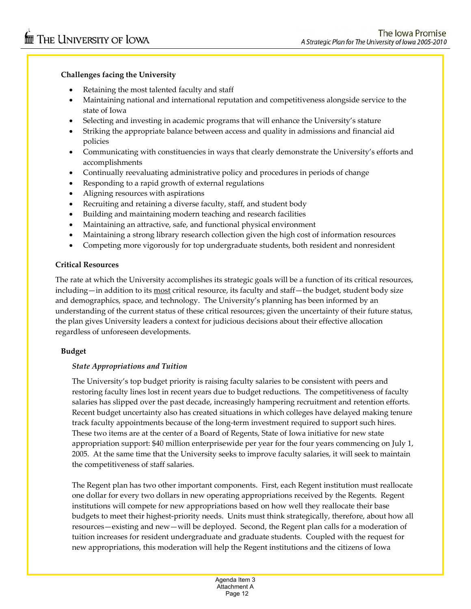### **Challenges facing the University**

- Retaining the most talented faculty and staff
- Maintaining national and international reputation and competitiveness alongside service to the state of Iowa
- Selecting and investing in academic programs that will enhance the University's stature
- Striking the appropriate balance between access and quality in admissions and financial aid policies
- Communicating with constituencies in ways that clearly demonstrate the University's efforts and accomplishments
- Continually reevaluating administrative policy and procedures in periods of change
- Responding to a rapid growth of external regulations
- Aligning resources with aspirations
- Recruiting and retaining a diverse faculty, staff, and student body
- Building and maintaining modern teaching and research facilities
- Maintaining an attractive, safe, and functional physical environment
- Maintaining a strong library research collection given the high cost of information resources
- Competing more vigorously for top undergraduate students, both resident and nonresident

### **Critical Resources**

The rate at which the University accomplishes its strategic goals will be a function of its critical resources, including—in addition to its most critical resource, its faculty and staff—the budget, student body size and demographics, space, and technology. The University's planning has been informed by an understanding of the current status of these critical resources; given the uncertainty of their future status, the plan gives University leaders a context for judicious decisions about their effective allocation regardless of unforeseen developments.

### **Budget**

### *State Appropriations and Tuition*

The University's top budget priority is raising faculty salaries to be consistent with peers and restoring faculty lines lost in recent years due to budget reductions. The competitiveness of faculty salaries has slipped over the past decade, increasingly hampering recruitment and retention efforts. Recent budget uncertainty also has created situations in which colleges have delayed making tenure track faculty appointments because of the long-term investment required to support such hires. These two items are at the center of a Board of Regents, State of Iowa initiative for new state appropriation support: \$40 million enterprisewide per year for the four years commencing on July 1, 2005. At the same time that the University seeks to improve faculty salaries, it will seek to maintain the competitiveness of staff salaries.

The Regent plan has two other important components. First, each Regent institution must reallocate one dollar for every two dollars in new operating appropriations received by the Regents. Regent institutions will compete for new appropriations based on how well they reallocate their base budgets to meet their highest‐priority needs. Units must think strategically, therefore, about how all resources—existing and new—will be deployed. Second, the Regent plan calls for a moderation of tuition increases for resident undergraduate and graduate students. Coupled with the request for new appropriations, this moderation will help the Regent institutions and the citizens of Iowa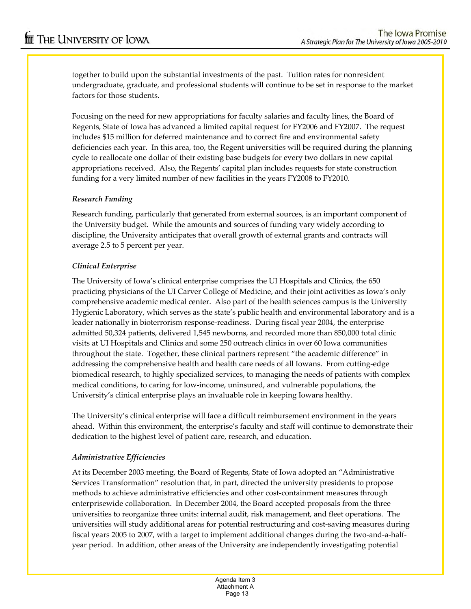together to build upon the substantial investments of the past. Tuition rates for nonresident undergraduate, graduate, and professional students will continue to be set in response to the market factors for those students.

Focusing on the need for new appropriations for faculty salaries and faculty lines, the Board of Regents, State of Iowa has advanced a limited capital request for FY2006 and FY2007. The request includes \$15 million for deferred maintenance and to correct fire and environmental safety deficiencies each year. In this area, too, the Regent universities will be required during the planning cycle to reallocate one dollar of their existing base budgets for every two dollars in new capital appropriations received. Also, the Regents' capital plan includes requests for state construction funding for a very limited number of new facilities in the years FY2008 to FY2010.

### *Research Funding*

Research funding, particularly that generated from external sources, is an important component of the University budget. While the amounts and sources of funding vary widely according to discipline, the University anticipates that overall growth of external grants and contracts will average 2.5 to 5 percent per year.

### *Clinical Enterprise*

The University of Iowa's clinical enterprise comprises the UI Hospitals and Clinics, the 650 practicing physicians of the UI Carver College of Medicine, and their joint activities as Iowa's only comprehensive academic medical center. Also part of the health sciences campus is the University Hygienic Laboratory, which serves as the state's public health and environmental laboratory and is a leader nationally in bioterrorism response‐readiness. During fiscal year 2004, the enterprise admitted 50,324 patients, delivered 1,545 newborns, and recorded more than 850,000 total clinic visits at UI Hospitals and Clinics and some 250 outreach clinics in over 60 Iowa communities throughout the state. Together, these clinical partners represent "the academic difference" in addressing the comprehensive health and health care needs of all Iowans. From cutting‐edge biomedical research, to highly specialized services, to managing the needs of patients with complex medical conditions, to caring for low‐income, uninsured, and vulnerable populations, the University's clinical enterprise plays an invaluable role in keeping Iowans healthy.

The University's clinical enterprise will face a difficult reimbursement environment in the years ahead. Within this environment, the enterprise's faculty and staff will continue to demonstrate their dedication to the highest level of patient care, research, and education.

### *Administrative Efficiencies*

At its December 2003 meeting, the Board of Regents, State of Iowa adopted an "Administrative Services Transformation" resolution that, in part, directed the university presidents to propose methods to achieve administrative efficiencies and other cost‐containment measures through enterprisewide collaboration. In December 2004, the Board accepted proposals from the three universities to reorganize three units: internal audit, risk management, and fleet operations. The universities will study additional areas for potential restructuring and cost‐saving measures during fiscal years 2005 to 2007, with a target to implement additional changes during the two-and-a-halfyear period. In addition, other areas of the University are independently investigating potential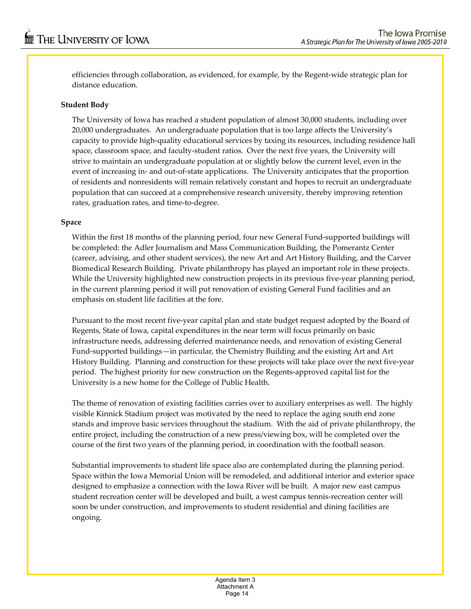efficiencies through collaboration, as evidenced, for example, by the Regent-wide strategic plan for distance education.

### **Student Body**

The University of Iowa has reached a student population of almost 30,000 students, including over 20,000 undergraduates. An undergraduate population that is too large affects the University's capacity to provide high‐quality educational services by taxing its resources, including residence hall space, classroom space, and faculty-student ratios. Over the next five years, the University will strive to maintain an undergraduate population at or slightly below the current level, even in the event of increasing in‐ and out‐of‐state applications. The University anticipates that the proportion of residents and nonresidents will remain relatively constant and hopes to recruit an undergraduate population that can succeed at a comprehensive research university, thereby improving retention rates, graduation rates, and time‐to‐degree.

### **Space**

Within the first 18 months of the planning period, four new General Fund‐supported buildings will be completed: the Adler Journalism and Mass Communication Building, the Pomerantz Center (career, advising, and other student services), the new Art and Art History Building, and the Carver Biomedical Research Building. Private philanthropy has played an important role in these projects. While the University highlighted new construction projects in its previous five-year planning period, in the current planning period it will put renovation of existing General Fund facilities and an emphasis on student life facilities at the fore.

Pursuant to the most recent five‐year capital plan and state budget request adopted by the Board of Regents, State of Iowa, capital expenditures in the near term will focus primarily on basic infrastructure needs, addressing deferred maintenance needs, and renovation of existing General Fund‐supported buildings—in particular, the Chemistry Building and the existing Art and Art History Building. Planning and construction for these projects will take place over the next five‐year period. The highest priority for new construction on the Regents‐approved capital list for the University is a new home for the College of Public Health.

The theme of renovation of existing facilities carries over to auxiliary enterprises as well. The highly visible Kinnick Stadium project was motivated by the need to replace the aging south end zone stands and improve basic services throughout the stadium. With the aid of private philanthropy, the entire project, including the construction of a new press/viewing box, will be completed over the course of the first two years of the planning period, in coordination with the football season.

Substantial improvements to student life space also are contemplated during the planning period. Space within the Iowa Memorial Union will be remodeled, and additional interior and exterior space designed to emphasize a connection with the Iowa River will be built. A major new east campus student recreation center will be developed and built, a west campus tennis‐recreation center will soon be under construction, and improvements to student residential and dining facilities are ongoing.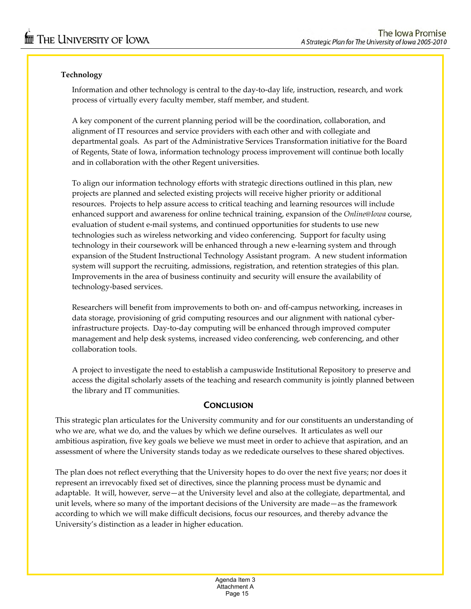## **Technology**

Information and other technology is central to the day‐to‐day life, instruction, research, and work process of virtually every faculty member, staff member, and student.

A key component of the current planning period will be the coordination, collaboration, and alignment of IT resources and service providers with each other and with collegiate and departmental goals. As part of the Administrative Services Transformation initiative for the Board of Regents, State of Iowa, information technology process improvement will continue both locally and in collaboration with the other Regent universities.

To align our information technology efforts with strategic directions outlined in this plan, new projects are planned and selected existing projects will receive higher priority or additional resources. Projects to help assure access to critical teaching and learning resources will include enhanced support and awareness for online technical training, expansion of the *Online@Iowa* course, evaluation of student e-mail systems, and continued opportunities for students to use new technologies such as wireless networking and video conferencing. Support for faculty using technology in their coursework will be enhanced through a new e-learning system and through expansion of the Student Instructional Technology Assistant program. A new student information system will support the recruiting, admissions, registration, and retention strategies of this plan. Improvements in the area of business continuity and security will ensure the availability of technology‐based services.

Researchers will benefit from improvements to both on- and off-campus networking, increases in data storage, provisioning of grid computing resources and our alignment with national cyber‐ infrastructure projects. Day‐to‐day computing will be enhanced through improved computer management and help desk systems, increased video conferencing, web conferencing, and other collaboration tools.

A project to investigate the need to establish a campuswide Institutional Repository to preserve and access the digital scholarly assets of the teaching and research community is jointly planned between the library and IT communities.

### **CONCLUSION**

This strategic plan articulates for the University community and for our constituents an understanding of who we are, what we do, and the values by which we define ourselves. It articulates as well our ambitious aspiration, five key goals we believe we must meet in order to achieve that aspiration, and an assessment of where the University stands today as we rededicate ourselves to these shared objectives.

The plan does not reflect everything that the University hopes to do over the next five years; nor does it represent an irrevocably fixed set of directives, since the planning process must be dynamic and adaptable. It will, however, serve—at the University level and also at the collegiate, departmental, and unit levels, where so many of the important decisions of the University are made—as the framework according to which we will make difficult decisions, focus our resources, and thereby advance the University's distinction as a leader in higher education.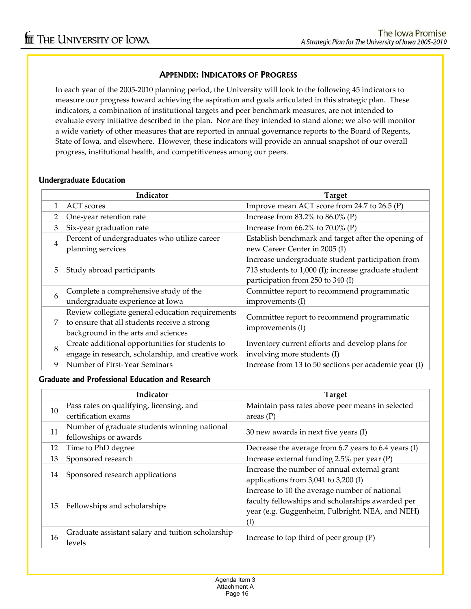### **APPENDIX: INDICATORS OF PROGRESS**

In each year of the 2005‐2010 planning period, the University will look to the following 45 indicators to measure our progress toward achieving the aspiration and goals articulated in this strategic plan. These indicators, a combination of institutional targets and peer benchmark measures, are not intended to evaluate every initiative described in the plan. Nor are they intended to stand alone; we also will monitor a wide variety of other measures that are reported in annual governance reports to the Board of Regents, State of Iowa, and elsewhere. However, these indicators will provide an annual snapshot of our overall progress, institutional health, and competitiveness among our peers.

### **Undergraduate Education**

|                | Indicator                                          | <b>Target</b>                                         |
|----------------|----------------------------------------------------|-------------------------------------------------------|
|                | <b>ACT</b> scores                                  | Improve mean ACT score from 24.7 to 26.5 (P)          |
|                | One-year retention rate                            | Increase from $83.2\%$ to $86.0\%$ (P)                |
| 3              | Six-year graduation rate                           | Increase from $66.2\%$ to $70.0\%$ (P)                |
| $\overline{4}$ | Percent of undergraduates who utilize career       | Establish benchmark and target after the opening of   |
|                | planning services                                  | new Career Center in 2005 (I)                         |
|                |                                                    | Increase undergraduate student participation from     |
| 5              | Study abroad participants                          | 713 students to 1,000 (I); increase graduate student  |
|                |                                                    | participation from 250 to 340 (I)                     |
| 6              | Complete a comprehensive study of the              | Committee report to recommend programmatic            |
|                | undergraduate experience at Iowa                   | improvements (I)                                      |
|                | Review collegiate general education requirements   | Committee report to recommend programmatic            |
| 7              | to ensure that all students receive a strong       | improvements (I)                                      |
|                | background in the arts and sciences                |                                                       |
| 8              | Create additional opportunities for students to    | Inventory current efforts and develop plans for       |
|                | engage in research, scholarship, and creative work | involving more students (I)                           |
| 9              | Number of First-Year Seminars                      | Increase from 13 to 50 sections per academic year (I) |

### **Graduate and Professional Education and Research**

|    | Indicator                                         | <b>Target</b>                                        |  |
|----|---------------------------------------------------|------------------------------------------------------|--|
| 10 | Pass rates on qualifying, licensing, and          | Maintain pass rates above peer means in selected     |  |
|    | certification exams                               | areas $(P)$                                          |  |
| 11 | Number of graduate students winning national      | 30 new awards in next five years (I)                 |  |
|    | fellowships or awards                             |                                                      |  |
| 12 | Time to PhD degree                                | Decrease the average from 6.7 years to 6.4 years (I) |  |
| 13 | Sponsored research                                | Increase external funding 2.5% per year (P)          |  |
|    | Sponsored research applications                   | Increase the number of annual external grant         |  |
| 14 |                                                   | applications from 3,041 to 3,200 (I)                 |  |
|    |                                                   | Increase to 10 the average number of national        |  |
|    | Fellowships and scholarships                      | faculty fellowships and scholarships awarded per     |  |
| 15 |                                                   | year (e.g. Guggenheim, Fulbright, NEA, and NEH)      |  |
|    |                                                   | $\rm _{(l)}$                                         |  |
| 16 | Graduate assistant salary and tuition scholarship |                                                      |  |
|    | levels                                            | Increase to top third of peer group $(P)$            |  |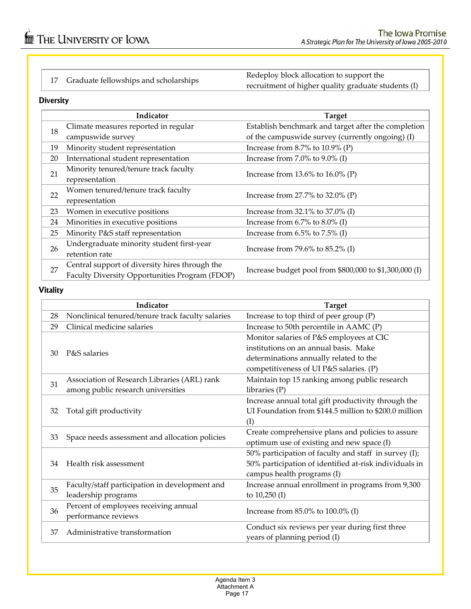17 Graduate fellowships and scholarships Redeploy block allocation to support the recruitment of higher quality graduate students (I)

### **Diversity**

|    | Indicator                                      | <b>Target</b>                                          |  |
|----|------------------------------------------------|--------------------------------------------------------|--|
| 18 | Climate measures reported in regular           | Establish benchmark and target after the completion    |  |
|    | campuswide survey                              | of the campuswide survey (currently ongoing) (I)       |  |
| 19 | Minority student representation                | Increase from 8.7% to $10.9\%$ (P)                     |  |
| 20 | International student representation           | Increase from $7.0\%$ to $9.0\%$ (I)                   |  |
| 21 | Minority tenured/tenure track faculty          | Increase from $13.6\%$ to $16.0\%$ (P)                 |  |
|    | representation                                 |                                                        |  |
| 22 | Women tenured/tenure track faculty             | Increase from $27.7\%$ to $32.0\%$ (P)                 |  |
|    | representation                                 |                                                        |  |
| 23 | Women in executive positions                   | Increase from $32.1\%$ to $37.0\%$ (I)                 |  |
| 24 | Minorities in executive positions              | Increase from $6.7\%$ to $8.0\%$ (I)                   |  |
| 25 | Minority P&S staff representation              | Increase from $6.5\%$ to $7.5\%$ (I)                   |  |
|    | Undergraduate minority student first-year      |                                                        |  |
| 26 | retention rate                                 | Increase from 79.6% to 85.2% (I)                       |  |
| 27 | Central support of diversity hires through the | Increase budget pool from \$800,000 to \$1,300,000 (I) |  |
|    | Faculty Diversity Opportunities Program (FDOP) |                                                        |  |

### **Vitality**

|    | Indicator                                         | <b>Target</b>                                          |  |
|----|---------------------------------------------------|--------------------------------------------------------|--|
| 28 | Nonclinical tenured/tenure track faculty salaries | Increase to top third of peer group (P)                |  |
| 29 | Clinical medicine salaries                        | Increase to 50th percentile in AAMC (P)                |  |
|    |                                                   | Monitor salaries of P&S employees at CIC               |  |
| 30 | P&S salaries                                      | institutions on an annual basis. Make                  |  |
|    |                                                   | determinations annually related to the                 |  |
|    |                                                   | competitiveness of UI P&S salaries. (P)                |  |
| 31 | Association of Research Libraries (ARL) rank      | Maintain top 15 ranking among public research          |  |
|    | among public research universities                | libraries $(P)$                                        |  |
|    |                                                   | Increase annual total gift productivity through the    |  |
| 32 | Total gift productivity                           | UI Foundation from \$144.5 million to \$200.0 million  |  |
|    |                                                   | (I)                                                    |  |
| 33 | Space needs assessment and allocation policies    | Create comprehensive plans and policies to assure      |  |
|    |                                                   | optimum use of existing and new space (I)              |  |
|    |                                                   | 50% participation of faculty and staff in survey (I);  |  |
| 34 | Health risk assessment                            | 50% participation of identified at-risk individuals in |  |
|    |                                                   | campus health programs (I)                             |  |
| 35 | Faculty/staff participation in development and    | Increase annual enrollment in programs from 9,300      |  |
|    | leadership programs                               | to $10,250$ (I)                                        |  |
| 36 | Percent of employees receiving annual             | Increase from 85.0% to 100.0% (I)                      |  |
|    | performance reviews                               |                                                        |  |
| 37 | Administrative transformation                     | Conduct six reviews per year during first three        |  |
|    |                                                   | years of planning period (I)                           |  |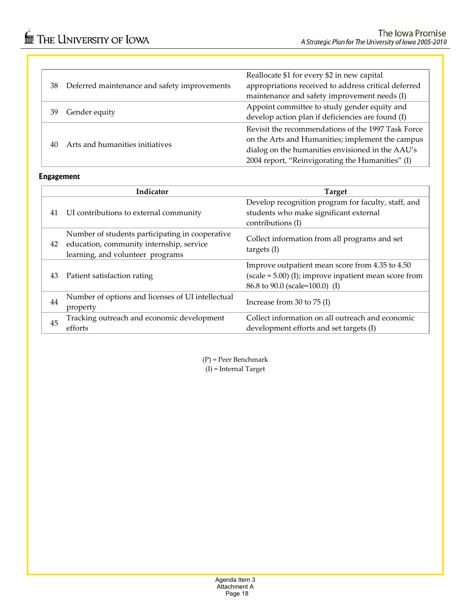|    |                                              | Reallocate \$1 for every \$2 in new capital          |
|----|----------------------------------------------|------------------------------------------------------|
| 38 | Deferred maintenance and safety improvements | appropriations received to address critical deferred |
|    |                                              | maintenance and safety improvement needs (I)         |
|    |                                              | Appoint committee to study gender equity and         |
| 39 | Gender equity                                | develop action plan if deficiencies are found (I)    |
|    |                                              | Revisit the recommendations of the 1997 Task Force   |
| 40 | Arts and humanities initiatives              | on the Arts and Humanities; implement the campus     |
|    |                                              | dialog on the humanities envisioned in the AAU's     |
|    |                                              | 2004 report, "Reinvigorating the Humanities" (I)     |
|    |                                              |                                                      |

### **Engagement**

|    | Indicator                                                                                                                       | <b>Target</b>                                                                                                                                |
|----|---------------------------------------------------------------------------------------------------------------------------------|----------------------------------------------------------------------------------------------------------------------------------------------|
| 41 | UI contributions to external community                                                                                          | Develop recognition program for faculty, staff, and<br>students who make significant external<br>contributions (I)                           |
| 42 | Number of students participating in cooperative<br>education, community internship, service<br>learning, and volunteer programs | Collect information from all programs and set<br>targets $(I)$                                                                               |
| 43 | Patient satisfaction rating                                                                                                     | Improve outpatient mean score from 4.35 to 4.50<br>$(scale = 5.00)$ (I); improve inpatient mean score from<br>86.8 to 90.0 (scale=100.0) (I) |
| 44 | Number of options and licenses of UI intellectual<br>property                                                                   | Increase from 30 to 75 (I)                                                                                                                   |
| 45 | Tracking outreach and economic development<br>efforts                                                                           | Collect information on all outreach and economic<br>development efforts and set targets (I)                                                  |

(P) = Peer Benchmark  $(I)$  = Internal Target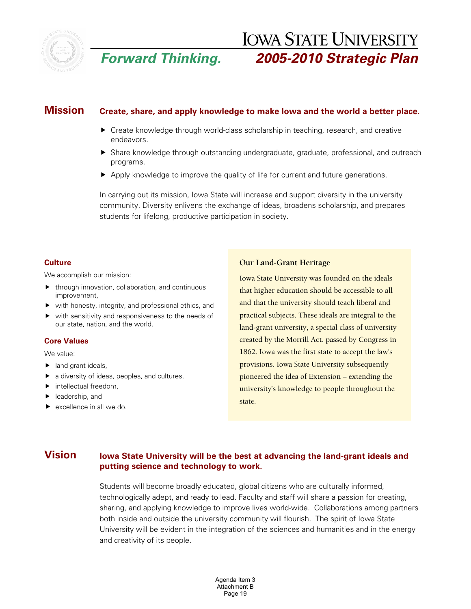

# **IOWA STATE UNIVERSITY** *Forward Thinking. 2005-2010 Strategic Plan*

# **Mission Create, share, and apply knowledge to make Iowa and the world a better place.**

- $\blacktriangleright$  Create knowledge through world-class scholarship in teaching, research, and creative endeavors.
- $\blacktriangleright$  Share knowledge through outstanding undergraduate, graduate, professional, and outreach programs.
- $\blacktriangleright$  Apply knowledge to improve the quality of life for current and future generations.

In carrying out its mission, Iowa State will increase and support diversity in the university community. Diversity enlivens the exchange of ideas, broadens scholarship, and prepares students for lifelong, productive participation in society.

### **Culture**

We accomplish our mission:

- $\blacktriangleright$  through innovation, collaboration, and continuous improvement,
- $\blacktriangleright$  with honesty, integrity, and professional ethics, and
- $\blacktriangleright$  with sensitivity and responsiveness to the needs of our state, nation, and the world.

### **Core Values**

We value:

- $\blacktriangleright$  land-grant ideals.
- $\blacktriangleright$  a diversity of ideas, peoples, and cultures,
- $\blacktriangleright$  intellectual freedom.
- $\blacktriangleright$  leadership, and
- $\blacktriangleright$  excellence in all we do.

### **Our Land-Grant Heritage**

Iowa State University was founded on the ideals that higher education should be accessible to all and that the university should teach liberal and practical subjects. These ideals are integral to the land-grant university, a special class of university created by the Morrill Act, passed by Congress in 1862. Iowa was the first state to accept the law's provisions. Iowa State University subsequently pioneered the idea of Extension – extending the university's knowledge to people throughout the state.

## **Vision** Iowa State University will be the best at advancing the land-grant ideals and **putting science and technology to work.**

Students will become broadly educated, global citizens who are culturally informed, technologically adept, and ready to lead. Faculty and staff will share a passion for creating, sharing, and applying knowledge to improve lives world-wide. Collaborations among partners both inside and outside the university community will flourish. The spirit of Iowa State University will be evident in the integration of the sciences and humanities and in the energy and creativity of its people.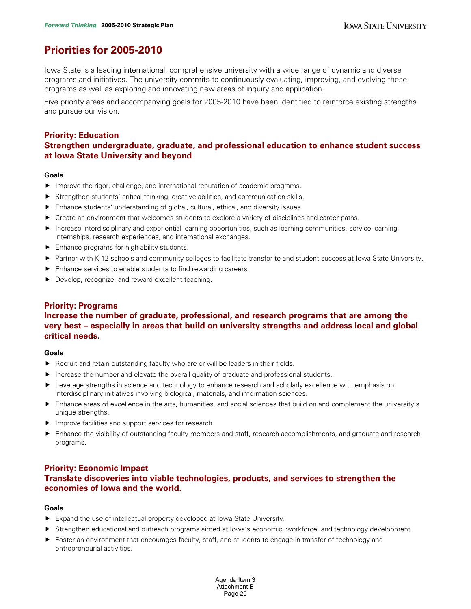# **Priorities for 2005-2010**

Iowa State is a leading international, comprehensive university with a wide range of dynamic and diverse programs and initiatives. The university commits to continuously evaluating, improving, and evolving these programs as well as exploring and innovating new areas of inquiry and application.

Five priority areas and accompanying goals for 2005-2010 have been identified to reinforce existing strengths and pursue our vision.

### **Priority: Education**

### **Strengthen undergraduate, graduate, and professional education to enhance student success at Iowa State University and beyond**.

### **Goals**

- **F** Improve the rigor, challenge, and international reputation of academic programs.
- $\blacktriangleright$  Strengthen students' critical thinking, creative abilities, and communication skills.
- **Filtum** Enhance students' understanding of global, cultural, ethical, and diversity issues.
- $\blacktriangleright$  Create an environment that welcomes students to explore a variety of disciplines and career paths.
- **F** Increase interdisciplinary and experiential learning opportunities, such as learning communities, service learning, internships, research experiences, and international exchanges.
- $\blacktriangleright$  Enhance programs for high-ability students.
- ▶ Partner with K-12 schools and community colleges to facilitate transfer to and student success at Iowa State University.
- $\blacktriangleright$  Enhance services to enable students to find rewarding careers.
- **P** Develop, recognize, and reward excellent teaching.

### **Priority: Programs**

### **Increase the number of graduate, professional, and research programs that are among the very best – especially in areas that build on university strengths and address local and global critical needs.**

### **Goals**

- Recruit and retain outstanding faculty who are or will be leaders in their fields.
- $\blacktriangleright$  Increase the number and elevate the overall quality of graduate and professional students.
- Everage strengths in science and technology to enhance research and scholarly excellence with emphasis on interdisciplinary initiatives involving biological, materials, and information sciences.
- $\blacktriangleright$  Enhance areas of excellence in the arts, humanities, and social sciences that build on and complement the university's unique strengths.
- $\blacktriangleright$  Improve facilities and support services for research.
- **F** Enhance the visibility of outstanding faculty members and staff, research accomplishments, and graduate and research programs.

### **Priority: Economic Impact Translate discoveries into viable technologies, products, and services to strengthen the economies of Iowa and the world.**

### **Goals**

- $\blacktriangleright$  Expand the use of intellectual property developed at Iowa State University.
- f Strengthen educational and outreach programs aimed at Iowa's economic, workforce, and technology development.
- $\blacktriangleright$  Foster an environment that encourages faculty, staff, and students to engage in transfer of technology and entrepreneurial activities.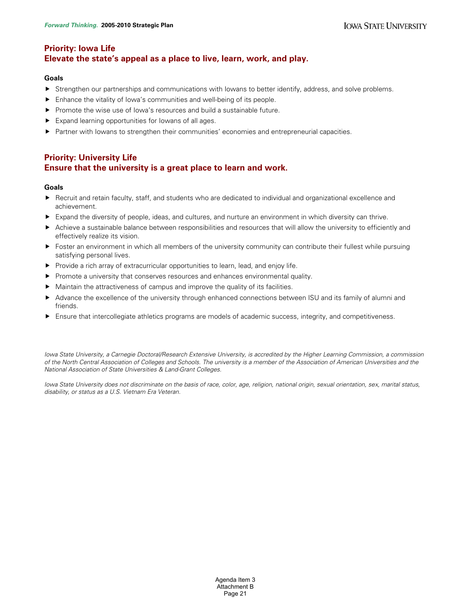# **Priority: Iowa Life Elevate the state's appeal as a place to live, learn, work, and play.**

### **Goals**

- For Strengthen our partnerships and communications with Iowans to better identify, address, and solve problems.
- $\blacktriangleright$  Enhance the vitality of Iowa's communities and well-being of its people.
- $\blacktriangleright$  Promote the wise use of lowa's resources and build a sustainable future.
- $\blacktriangleright$  Expand learning opportunities for lowans of all ages.
- **F** Partner with Iowans to strengthen their communities' economies and entrepreneurial capacities.

### **Priority: University Life Ensure that the university is a great place to learn and work.**

### **Goals**

- **F** Recruit and retain faculty, staff, and students who are dedicated to individual and organizational excellence and achievement.
- $\blacktriangleright$  Expand the diversity of people, ideas, and cultures, and nurture an environment in which diversity can thrive.
- ▶ Achieve a sustainable balance between responsibilities and resources that will allow the university to efficiently and effectively realize its vision.
- $\triangleright$  Foster an environment in which all members of the university community can contribute their fullest while pursuing satisfying personal lives.
- $\blacktriangleright$  Provide a rich array of extracurricular opportunities to learn, lead, and enjoy life.
- $\blacktriangleright$  Promote a university that conserves resources and enhances environmental quality.
- $\blacktriangleright$  Maintain the attractiveness of campus and improve the quality of its facilities.
- ▶ Advance the excellence of the university through enhanced connections between ISU and its family of alumni and friends.
- **F** Ensure that intercollegiate athletics programs are models of academic success, integrity, and competitiveness.

*Iowa State University, a Carnegie Doctoral/Research Extensive University, is accredited by the Higher Learning Commission, a commission of the North Central Association of Colleges and Schools. The university is a member of the Association of American Universities and the National Association of State Universities & Land-Grant Colleges.* 

*Iowa State University does not discriminate on the basis of race, color, age, religion, national origin, sexual orientation, sex, marital status, disability, or status as a U.S. Vietnam Era Veteran.*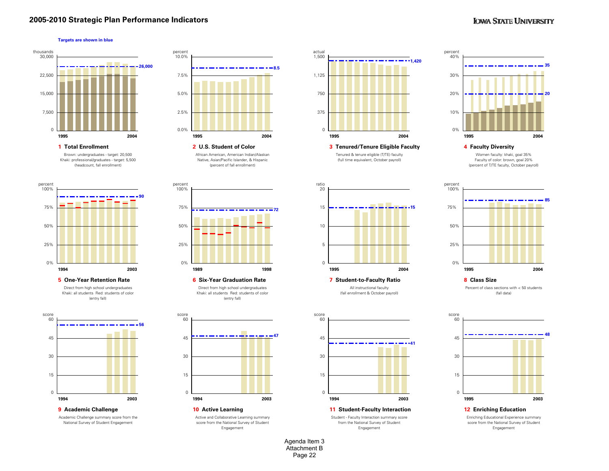### **2005-2010 Strategic Plan Performance Indicators**

### **IOWA STATE UNIVERSITY**

### **Targets are shown in blue**



**1 Total Enrollment** Brown: undergraduates - target: 20,500 Khaki: professional/graduates - target: 5,500 (headcount, fall enrollment)







**9 Academic Challenge**

Academic Challenge summary score from the National Survey of Student Engagement



African American, American Indian/Alaskan Native, Asian/Pacific Islander, & Hispanic (percent of fall enrollment)



**6 Six-Year Graduation Rate** Direct from high school undergraduates Khaki: all students Red: students of color (entry fall)



**10 Active Learning 11 Student-Faculty Interaction 12 Enriching Education** Active and Collaborative Learning summary score from the National Survey of Student Engagement



 **4 Faculty Diversity 3 Tenured/Tenure Eligible Faculty** Tenured & tenure eligible (T/TE) faculty (full time equivalent, October payroll)



All instructional faculty (fall enrollment & October payroll)

**41**

Student - Faculty Interaction summary score from the National Survey of Student Engagement



Women faculty: khaki, goal 35% Faculty of color: brown, goal 20% (percent of T/TE faculty, October payroll)



**8 Class Size**Percent of class sections with < 50 students (fall data)



Enriching Educational Experience summary score from the National Survey of Student Engagement

Agenda Item 3 Attachment BPage 22

15

**1994**

30

45

60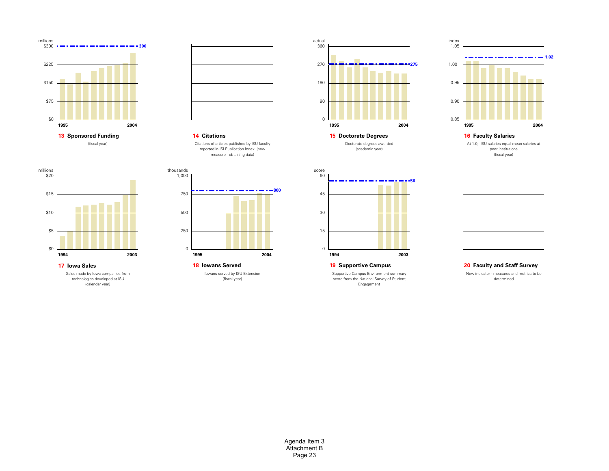



### **14 Citations**

Citations of articles published by ISU faculty reported in ISI Publication Index (new measure - obtaining data)



technologies developed at ISU (calendar year)



Iowans served by ISU Extension (fiscal year) **18 Iowans Served** 



**15 Doctorate Degrees** Doctorate degrees awarded (academic year)



**16 Faculty Salaries**

At 1.0, ISU salaries equal mean salaries at peer institutions (fiscal year)



### **19 Supportive Campus**

Supportive Campus Environment summary score from the National Survey of Student Engagement

### **20 Faculty and Staff Survey**

New indicator - measures and metrics to be determined

Agenda Item 3 Attachment BPage 23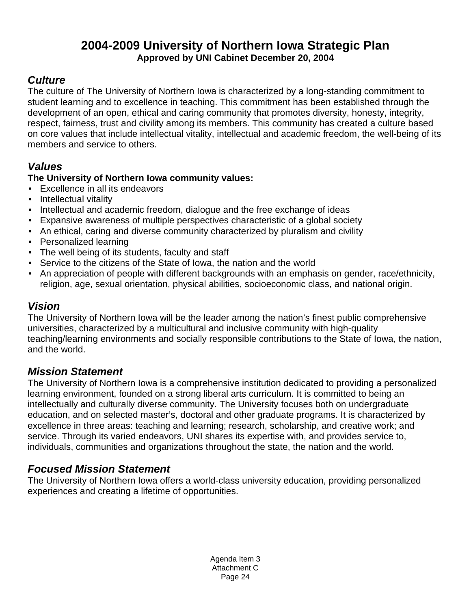# **2004-2009 University of Northern Iowa Strategic Plan Approved by UNI Cabinet December 20, 2004**

# *Culture*

The culture of The University of Northern Iowa is characterized by a long-standing commitment to student learning and to excellence in teaching. This commitment has been established through the development of an open, ethical and caring community that promotes diversity, honesty, integrity, respect, fairness, trust and civility among its members. This community has created a culture based on core values that include intellectual vitality, intellectual and academic freedom, the well-being of its members and service to others.

# *Values*

# **The University of Northern Iowa community values:**

- Excellence in all its endeavors
- Intellectual vitality
- Intellectual and academic freedom, dialogue and the free exchange of ideas
- Expansive awareness of multiple perspectives characteristic of a global society
- An ethical, caring and diverse community characterized by pluralism and civility
- Personalized learning
- The well being of its students, faculty and staff
- Service to the citizens of the State of Iowa, the nation and the world
- An appreciation of people with different backgrounds with an emphasis on gender, race/ethnicity, religion, age, sexual orientation, physical abilities, socioeconomic class, and national origin.

# *Vision*

The University of Northern Iowa will be the leader among the nation's finest public comprehensive universities, characterized by a multicultural and inclusive community with high-quality teaching/learning environments and socially responsible contributions to the State of Iowa, the nation, and the world.

# *Mission Statement*

The University of Northern Iowa is a comprehensive institution dedicated to providing a personalized learning environment, founded on a strong liberal arts curriculum. It is committed to being an intellectually and culturally diverse community. The University focuses both on undergraduate education, and on selected master's, doctoral and other graduate programs. It is characterized by excellence in three areas: teaching and learning; research, scholarship, and creative work; and service. Through its varied endeavors, UNI shares its expertise with, and provides service to, individuals, communities and organizations throughout the state, the nation and the world.

# *Focused Mission Statement*

The University of Northern Iowa offers a world-class university education, providing personalized experiences and creating a lifetime of opportunities.

> Agenda Item 3 Attachment C Page 24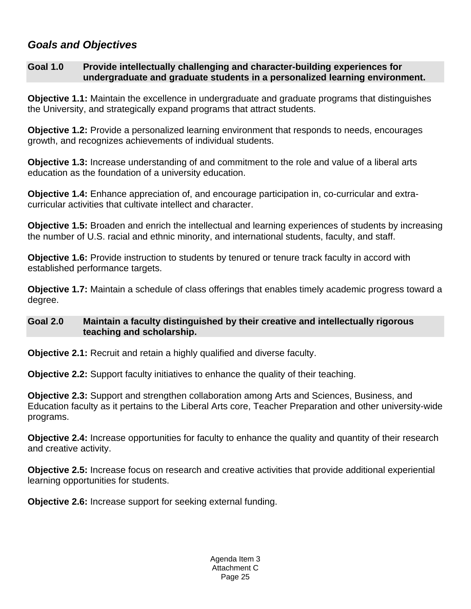# *Goals and Objectives*

## **Goal 1.0 Provide intellectually challenging and character-building experiences for undergraduate and graduate students in a personalized learning environment.**

**Objective 1.1:** Maintain the excellence in undergraduate and graduate programs that distinguishes the University, and strategically expand programs that attract students.

**Objective 1.2:** Provide a personalized learning environment that responds to needs, encourages growth, and recognizes achievements of individual students.

**Objective 1.3:** Increase understanding of and commitment to the role and value of a liberal arts education as the foundation of a university education.

**Objective 1.4:** Enhance appreciation of, and encourage participation in, co-curricular and extracurricular activities that cultivate intellect and character.

**Objective 1.5:** Broaden and enrich the intellectual and learning experiences of students by increasing the number of U.S. racial and ethnic minority, and international students, faculty, and staff.

**Objective 1.6:** Provide instruction to students by tenured or tenure track faculty in accord with established performance targets.

**Objective 1.7:** Maintain a schedule of class offerings that enables timely academic progress toward a degree.

### **Goal 2.0 Maintain a faculty distinguished by their creative and intellectually rigorous teaching and scholarship.**

**Objective 2.1:** Recruit and retain a highly qualified and diverse faculty.

**Objective 2.2:** Support faculty initiatives to enhance the quality of their teaching.

**Objective 2.3:** Support and strengthen collaboration among Arts and Sciences, Business, and Education faculty as it pertains to the Liberal Arts core, Teacher Preparation and other university-wide programs.

**Objective 2.4:** Increase opportunities for faculty to enhance the quality and quantity of their research and creative activity.

**Objective 2.5:** Increase focus on research and creative activities that provide additional experiential learning opportunities for students.

**Objective 2.6:** Increase support for seeking external funding.

Agenda Item 3 Attachment C Page 25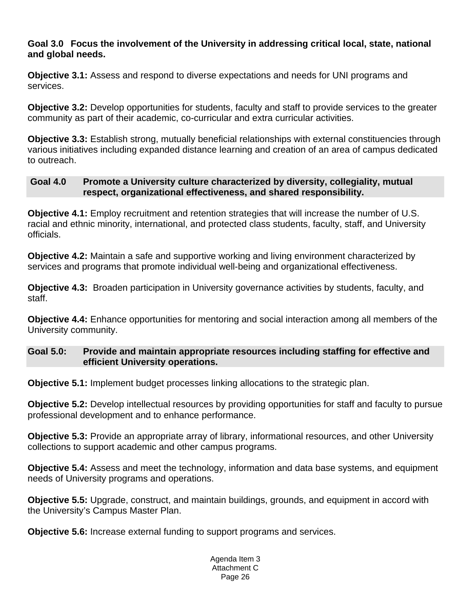## **Goal 3.0 Focus the involvement of the University in addressing critical local, state, national and global needs.**

**Objective 3.1:** Assess and respond to diverse expectations and needs for UNI programs and services.

**Objective 3.2:** Develop opportunities for students, faculty and staff to provide services to the greater community as part of their academic, co-curricular and extra curricular activities.

**Objective 3.3:** Establish strong, mutually beneficial relationships with external constituencies through various initiatives including expanded distance learning and creation of an area of campus dedicated to outreach.

# **Goal 4.0 Promote a University culture characterized by diversity, collegiality, mutual respect, organizational effectiveness, and shared responsibility.**

**Objective 4.1:** Employ recruitment and retention strategies that will increase the number of U.S. racial and ethnic minority, international, and protected class students, faculty, staff, and University officials.

**Objective 4.2:** Maintain a safe and supportive working and living environment characterized by services and programs that promote individual well-being and organizational effectiveness.

**Objective 4.3:** Broaden participation in University governance activities by students, faculty, and staff.

**Objective 4.4:** Enhance opportunities for mentoring and social interaction among all members of the University community.

# **Goal 5.0: Provide and maintain appropriate resources including staffing for effective and efficient University operations.**

**Objective 5.1:** Implement budget processes linking allocations to the strategic plan.

**Objective 5.2:** Develop intellectual resources by providing opportunities for staff and faculty to pursue professional development and to enhance performance.

**Objective 5.3:** Provide an appropriate array of library, informational resources, and other University collections to support academic and other campus programs.

**Objective 5.4:** Assess and meet the technology, information and data base systems, and equipment needs of University programs and operations.

**Objective 5.5:** Upgrade, construct, and maintain buildings, grounds, and equipment in accord with the University's Campus Master Plan.

**Objective 5.6:** Increase external funding to support programs and services.

Agenda Item 3 Attachment C Page 26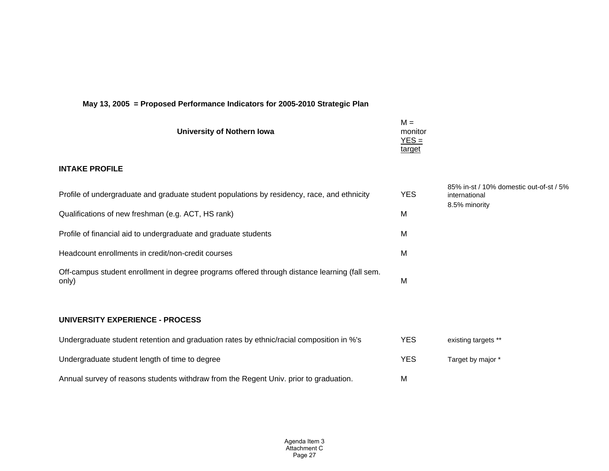| University of Nothern Iowa                                                                             | $M =$<br>monitor<br>$YES =$<br>target |                                                          |
|--------------------------------------------------------------------------------------------------------|---------------------------------------|----------------------------------------------------------|
| <b>INTAKE PROFILE</b>                                                                                  |                                       |                                                          |
| Profile of undergraduate and graduate student populations by residency, race, and ethnicity            | <b>YES</b>                            | 85% in-st / 10% domestic out-of-st / 5%<br>international |
| Qualifications of new freshman (e.g. ACT, HS rank)                                                     | M                                     | 8.5% minority                                            |
| Profile of financial aid to undergraduate and graduate students                                        | M                                     |                                                          |
| Headcount enrollments in credit/non-credit courses                                                     | M                                     |                                                          |
| Off-campus student enrollment in degree programs offered through distance learning (fall sem.<br>only) | M                                     |                                                          |
| <b>UNIVERSITY EXPERIENCE - PROCESS</b>                                                                 |                                       |                                                          |
|                                                                                                        |                                       |                                                          |
| Undergraduate student retention and graduation rates by ethnic/racial composition in %'s               | <b>YES</b>                            | existing targets **                                      |
| Undergraduate student length of time to degree                                                         | <b>YES</b>                            | Target by major *                                        |
| Annual survey of reasons students withdraw from the Regent Univ. prior to graduation.                  | M                                     |                                                          |

### **May 13, 2005 = Proposed Performance Indicators for 2005-2010 Strategic Plan**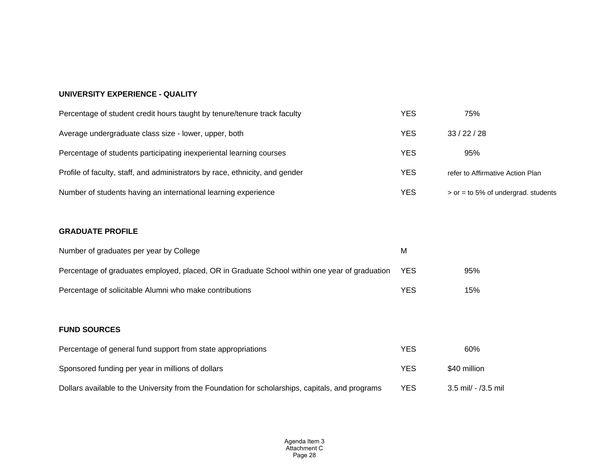### **UNIVERSITY EXPERIENCE - QUALITY**

| Percentage of student credit hours taught by tenure/tenure track faculty     | YES        | 75%                                   |
|------------------------------------------------------------------------------|------------|---------------------------------------|
| Average undergraduate class size - lower, upper, both                        | YES        | 33/22/28                              |
| Percentage of students participating inexperiental learning courses          | YES        | 95%                                   |
| Profile of faculty, staff, and administrators by race, ethnicity, and gender | <b>YES</b> | refer to Affirmative Action Plan      |
| Number of students having an international learning experience               | YES        | $>$ or = to 5% of undergrad. students |

### **GRADUATE PROFILE**

| Number of graduates per year by College                                                       | М          |     |
|-----------------------------------------------------------------------------------------------|------------|-----|
| Percentage of graduates employed, placed, OR in Graduate School within one year of graduation | <b>YES</b> | 95% |
| Percentage of solicitable Alumni who make contributions                                       | YES        | 15% |

### **FUND SOURCES**

| Percentage of general fund support from state appropriations                                     | YES | 60%                 |
|--------------------------------------------------------------------------------------------------|-----|---------------------|
| Sponsored funding per year in millions of dollars                                                | YES | \$40 million        |
| Dollars available to the University from the Foundation for scholarships, capitals, and programs | YES | 3.5 mil/ - /3.5 mil |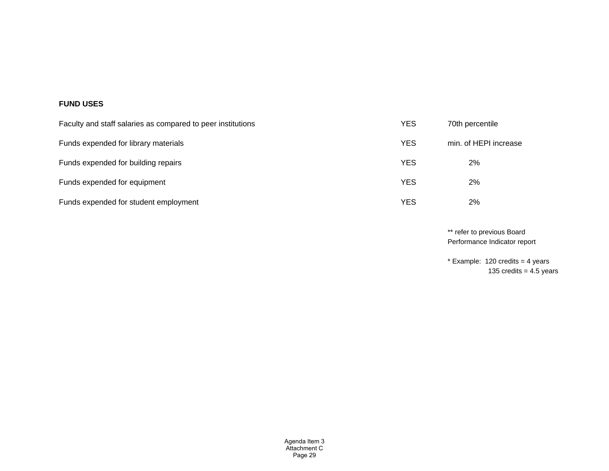### **FUND USES**

| Faculty and staff salaries as compared to peer institutions | YES        | 70th percentile       |
|-------------------------------------------------------------|------------|-----------------------|
| Funds expended for library materials                        | <b>YES</b> | min. of HEPI increase |
| Funds expended for building repairs                         | <b>YES</b> | 2%                    |
| Funds expended for equipment                                | <b>YES</b> | 2%                    |
| Funds expended for student employment                       | YES        | 2%                    |

\*\* refer to previous Board Performance Indicator report

 $*$  Example: 120 credits = 4 years 135 credits =  $4.5$  years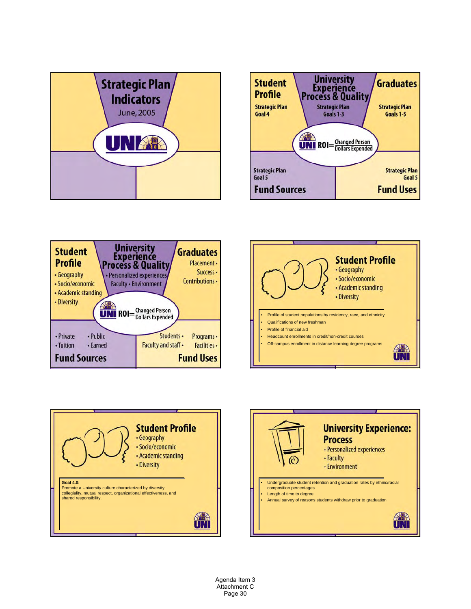









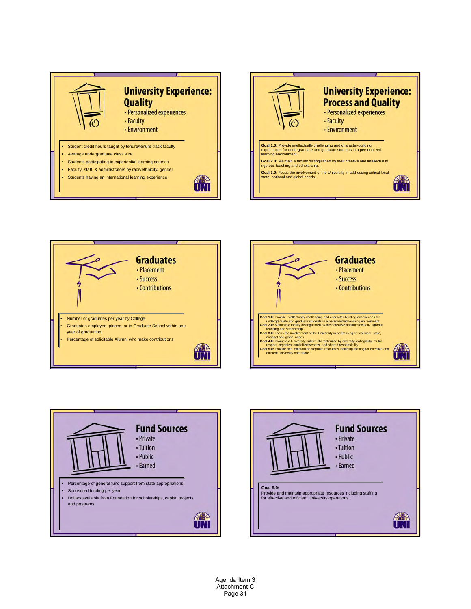